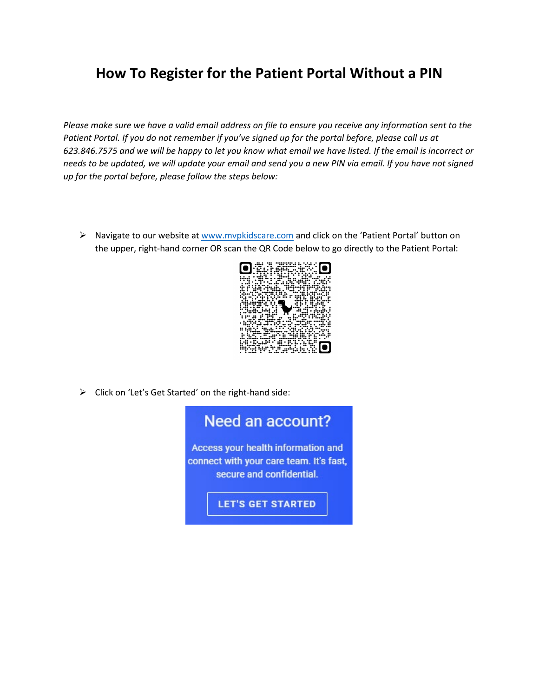## **How To Register for the Patient Portal Without a PIN**

*Please make sure we have a valid email address on file to ensure you receive any information sent to the Patient Portal. If you do not remember if you've signed up for the portal before, please call us at 623.846.7575 and we will be happy to let you know what email we have listed. If the email is incorrect or needs to be updated, we will update your email and send you a new PIN via email. If you have not signed up for the portal before, please follow the steps below:*

▶ Navigate to our website at [www.mvpkidscare.com](http://www.mvpkidscare.com/) and click on the 'Patient Portal' button on the upper, right-hand corner OR scan the QR Code below to go directly to the Patient Portal:



> Click on 'Let's Get Started' on the right-hand side:

## Need an account?

Access your health information and connect with your care team. It's fast, secure and confidential.

**LET'S GET STARTED**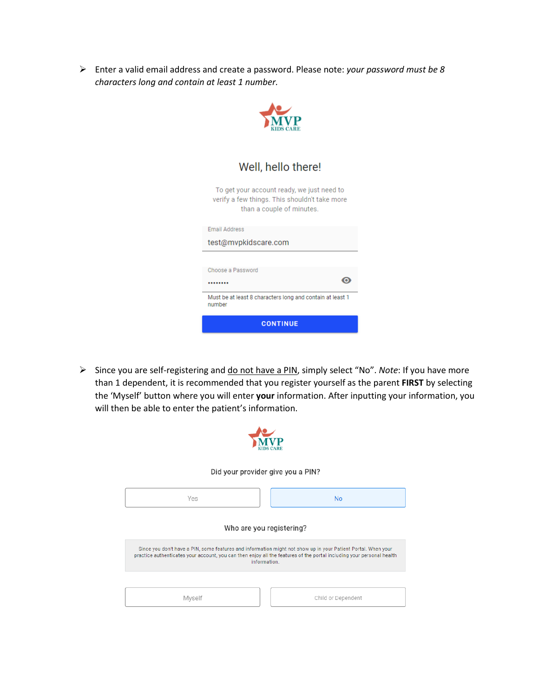Enter a valid email address and create a password. Please note: *your password must be 8 characters long and contain at least 1 number.*



Well, hello there!

To get your account ready, we just need to verify a few things. This shouldn't take more than a couple of minutes.

| <b>CONTINUE</b>                                                     |  |
|---------------------------------------------------------------------|--|
| Must be at least 8 characters long and contain at least 1<br>number |  |
|                                                                     |  |
| Choose a Password                                                   |  |
|                                                                     |  |
| test@mvpkidscare.com                                                |  |
| Email Address                                                       |  |

 Since you are self-registering and do not have a PIN, simply select "No". *Note*: If you have more than 1 dependent, it is recommended that you register yourself as the parent **FIRST** by selecting the 'Myself' button where you will enter **your** information. After inputting your information, you will then be able to enter the patient's information.

| Did your provider give you a PIN?                                                                                                                                                                                                                      |                    |  |
|--------------------------------------------------------------------------------------------------------------------------------------------------------------------------------------------------------------------------------------------------------|--------------------|--|
| Yes                                                                                                                                                                                                                                                    | <b>No</b>          |  |
| Who are you registering?                                                                                                                                                                                                                               |                    |  |
| Since you don't have a PIN, some features and information might not show up in your Patient Portal. When your<br>practice authenticates your account, you can then enjoy all the features of the portal including your personal health<br>information. |                    |  |
|                                                                                                                                                                                                                                                        |                    |  |
| Myself                                                                                                                                                                                                                                                 | Child or Dependent |  |